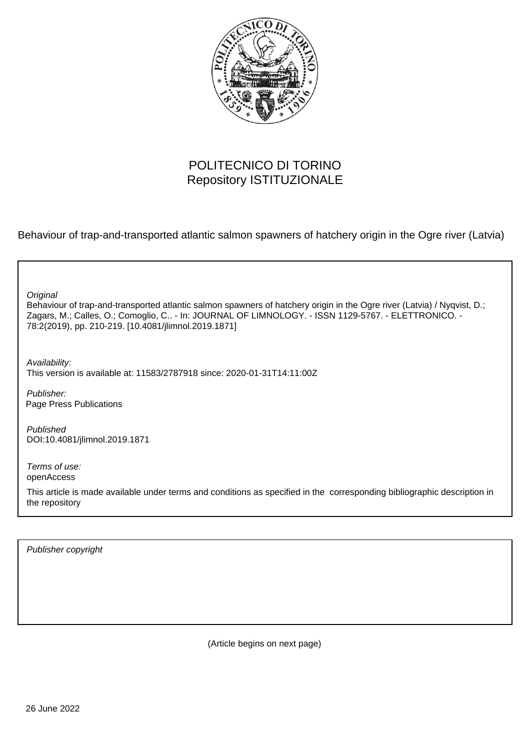

# POLITECNICO DI TORINO Repository ISTITUZIONALE

Behaviour of trap-and-transported atlantic salmon spawners of hatchery origin in the Ogre river (Latvia)

Behaviour of trap-and-transported atlantic salmon spawners of hatchery origin in the Ogre river (Latvia) / Nyqvist, D.; Zagars, M.; Calles, O.; Comoglio, C.. - In: JOURNAL OF LIMNOLOGY. - ISSN 1129-5767. - ELETTRONICO. - 78:2(2019), pp. 210-219. [10.4081/jlimnol.2019.1871] **Original** 

Availability: This version is available at: 11583/2787918 since: 2020-01-31T14:11:00Z

Publisher: Page Press Publications

Published DOI:10.4081/jlimnol.2019.1871

Terms of use: openAccess

This article is made available under terms and conditions as specified in the corresponding bibliographic description in the repository

Publisher copyright

(Article begins on next page)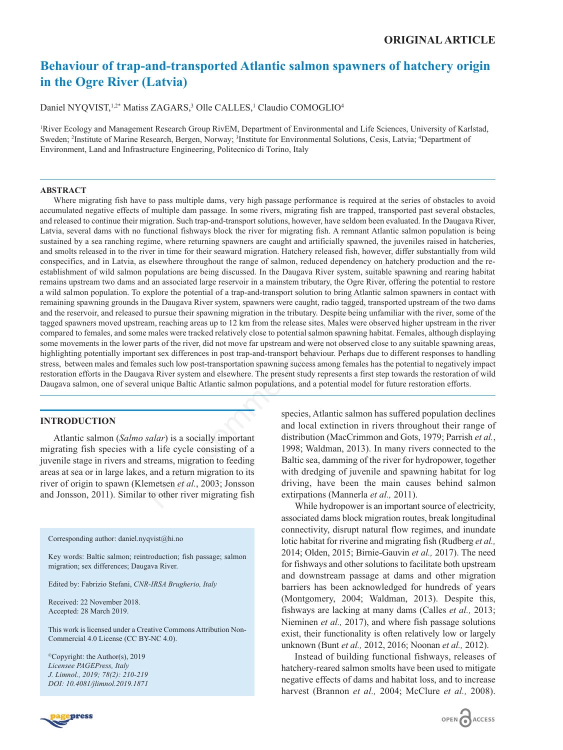# **Behaviour of trap-and-transported Atlantic salmon spawners of hatchery origin in the Ogre River (Latvia)**

Daniel NYQVIST,<sup>1,2\*</sup> Matiss ZAGARS,<sup>3</sup> Olle CALLES,<sup>1</sup> Claudio COMOGLIO<sup>4</sup>

1 River Ecology and Management Research Group RivEM, Department of Environmental and Life Sciences, University of Karlstad, Sweden; <sup>2</sup>Institute of Marine Research, Bergen, Norway; <sup>3</sup>Institute for Environmental Solutions, Cesis, Latvia; <sup>4</sup>Department of Environment, Land and Infrastructure Engineering, Politecnico di Torino, Italy

#### **ABSTRACT**

Where migrating fish have to pass multiple dams, very high passage performance is required at the series of obstacles to avoid accumulated negative effects of multiple dam passage. In some rivers, migrating fish are trapped, transported past several obstacles, and released to continue their migration. Such trap-and-transport solutions, however, have seldom been evaluated. In the Daugava River, Latvia, several dams with no functional fishways block the river for migrating fish. A remnant Atlantic salmon population is being sustained by a sea ranching regime, where returning spawners are caught and artificially spawned, the juveniles raised in hatcheries, and smolts released in to the river in time for their seaward migration. Hatchery released fish, however, differ substantially from wild conspecifics, and in Latvia, as elsewhere throughout the range of salmon, reduced dependency on hatchery production and the reestablishment of wild salmon populations are being discussed. In the Daugava River system, suitable spawning and rearing habitat remains upstream two dams and an associated large reservoir in a mainstem tributary, the Ogre River, offering the potential to restore a wild salmon population. To explore the potential of a trap-and-transport solution to bring Atlantic salmon spawners in contact with remaining spawning grounds in the Daugava River system, spawners were caught, radio tagged, transported upstream of the two dams and the reservoir, and released to pursue their spawning migration in the tributary. Despite being unfamiliar with the river, some of the tagged spawners moved upstream, reaching areas up to 12 km from the release sites. Males were observed higher upstream in the river compared to females, and some males were tracked relatively close to potential salmon spawning habitat. Females, although displaying some movements in the lower parts of the river, did not move far upstream and were not observed close to any suitable spawning areas, highlighting potentially important sex differences in post trap-and-transport behaviour. Perhaps due to different responses to handling stress, between males and females such low post-transportation spawning success among females has the potential to negatively impact restoration efforts in the Daugava River system and elsewhere. The present study represents a first step towards the restoration of wild Daugava salmon, one of several unique Baltic Atlantic salmon populations, and a potential model for future restoration efforts. where in time to their seaward migration. Hatchery released fish, however, differ since the interior their seaward migration. Hatchery released fish, however, differ since elsewhere throughout the range of salmon, reduced

# **INTRODUCTION**

Atlantic salmon (*Salmo salar*) is a socially important migrating fish species with a life cycle consisting of a juvenile stage in rivers and streams, migration to feeding areas at sea or in large lakes, and a return migration to its river of origin to spawn (Klemetsen *et al.*, 2003; Jonsson and Jonsson, 2011). Similar to other river migrating fish

Corresponding author: daniel.nyqvist@hi.no

Key words: Baltic salmon; reintroduction; fish passage; salmon migration; sex differences; Daugava River.

Edited by: Fabrizio Stefani, *CNR-IRSA Brugherio, Italy*

Received: 22 November 2018. Accepted: 28 March 2019.

This work is licensed under a Creative Commons Attribution Non-Commercial 4.0 License (CC BY-NC 4.0).

©Copyright: the Author(s), 2019 *Licensee PAGEPress, Italy J. Limnol., 2019; 78(2): 210-219 DOI: 10.4081/jlimnol.2019.1871*

species, Atlantic salmon has suffered population declines and local extinction in rivers throughout their range of distribution (MacCrimmon and Gots, 1979; Parrish *et al.*, 1998; Waldman, 2013). In many rivers connected to the Baltic sea, damming of the river for hydropower, together with dredging of juvenile and spawning habitat for log driving, have been the main causes behind salmon extirpations (Mannerla *et al.,* 2011).

While hydropower is an important source of electricity, associated dams block migration routes, break longitudinal connectivity, disrupt natural flow regimes, and inundate lotic habitat for riverine and migrating fish (Rudberg *et al.,* 2014; Olden, 2015; Birnie-Gauvin *et al.,* 2017). The need for fishways and other solutions to facilitate both upstream and downstream passage at dams and other migration barriers has been acknowledged for hundreds of years (Montgomery, 2004; Waldman, 2013). Despite this, fishways are lacking at many dams (Calles *et al.,* 2013; Nieminen *et al.,* 2017), and where fish passage solutions exist, their functionality is often relatively low or largely unknown (Bunt *et al.,* 2012, 2016; Noonan *et al.,* 2012).

Instead of building functional fishways, releases of hatchery-reared salmon smolts have been used to mitigate negative effects of dams and habitat loss, and to increase harvest (Brannon *et al.,* 2004; McClure *et al.,* 2008).

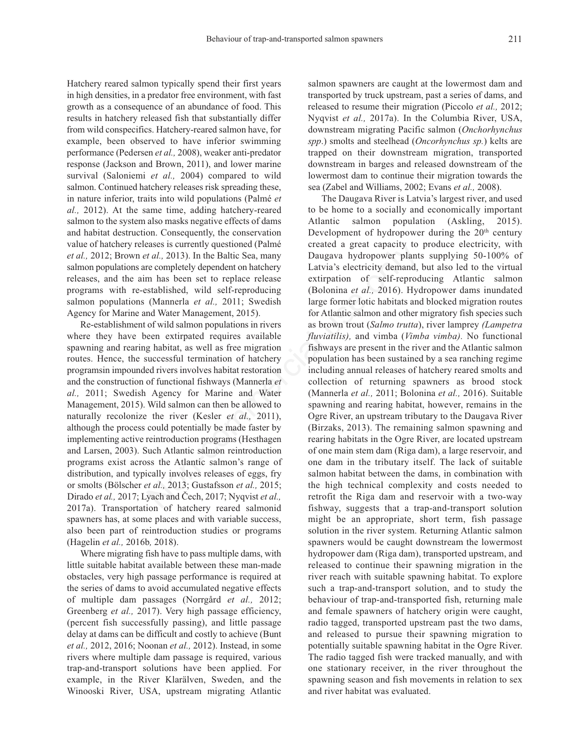Hatchery reared salmon typically spend their first years in high densities, in a predator free environment, with fast growth as a consequence of an abundance of food. This results in hatchery released fish that substantially differ from wild conspecifics. Hatchery-reared salmon have, for example, been observed to have inferior swimming performance (Pedersen *et al.,* 2008), weaker anti-predator response (Jackson and Brown, 2011), and lower marine survival (Saloniemi *et al.,* 2004) compared to wild salmon. Continued hatchery releases risk spreading these, in nature inferior, traits into wild populations (Palmé *et al.,* 2012). At the same time, adding hatchery-reared salmon to the system also masks negative effects of dams and habitat destruction. Consequently, the conservation value of hatchery releases is currently questioned (Palmé *et al.,* 2012; Brown *et al.,* 2013). In the Baltic Sea, many salmon populations are completely dependent on hatchery releases, and the aim has been set to replace release programs with re-established, wild self-reproducing salmon populations (Mannerla *et al.,* 2011; Swedish Agency for Marine and Water Management, 2015).

Re-establishment of wild salmon populations in rivers where they have been extirpated requires available spawning and rearing habitat, as well as free migration routes. Hence, the successful termination of hatchery programsin impounded rivers involves habitat restoration and the construction of functional fishways (Mannerla *et al.,* 2011; Swedish Agency for Marine and Water Management, 2015). Wild salmon can then be allowed to naturally recolonize the river (Kesler *et al.,* 2011), although the process could potentially be made faster by implementing active reintroduction programs (Hesthagen and Larsen, 2003). Such Atlantic salmon reintroduction programs exist across the Atlantic salmon's range of distribution, and typically involves releases of eggs, fry or smolts (Bölscher *et al.,* 2013; Gustafsson *et al.,* 2015; Dirado *et al.,* 2017; Lyach and Čech, 2017; Nyqvist *et al.,* 2017a). Transportation of hatchery reared salmonid spawners has, at some places and with variable success, also been part of reintroduction studies or programs (Hagelin *et al.,* 2016b*,* 2018).

Where migrating fish have to pass multiple dams, with little suitable habitat available between these man-made obstacles, very high passage performance is required at the series of dams to avoid accumulated negative effects of multiple dam passages (Norrgård *et al.,* 2012; Greenberg *et al.*, 2017). Very high passage efficiency, (percent fish successfully passing), and little passage delay at dams can be difficult and costly to achieve (Bunt *et al.,* 2012, 2016; Noonan *et al.,* 2012). Instead, in some rivers where multiple dam passage is required, various trap-and-transport solutions have been applied. For example, in the River Klarälven, Sweden, and the Winooski River, USA, upstream migrating Atlantic

salmon spawners are caught at the lowermost dam and transported by truck upstream, past a series of dams, and released to resume their migration (Piccolo *et al.,* 2012; Nyqvist *et al.,* 2017a). In the Columbia River, USA, downstream migrating Pacific salmon (*Onchorhynchus spp*.) smolts and steelhead (*Oncorhynchus sp.*) kelts are trapped on their downstream migration, transported downstream in barges and released downstream of the lowermost dam to continue their migration towards the sea (Zabel and Williams, 2002; Evans *et al.,* 2008).

The Daugava River is Latvia's largest river, and used to be home to a socially and economically important Atlantic salmon population (Askling, 2015). Development of hydropower during the  $20<sup>th</sup>$  century created a great capacity to produce electricity, with Daugava hydropower plants supplying 50-100% of Latvia's electricity demand, but also led to the virtual extirpation of self-reproducing Atlantic salmon (Bolonina *et al.,* 2016). Hydropower dams inundated large former lotic habitats and blocked migration routes for Atlantic salmon and other migratory fish species such as brown trout (*Salmo trutta*), river lamprey *(Lampetra fluviatilis),* and vimba (*Vimba vimba).* No functional fishways are present in the river and the Atlantic salmon population has been sustained by a sea ranching regime including annual releases of hatchery reared smolts and collection of returning spawners as brood stock (Mannerla *et al.,* 2011; Bolonina *et al.,* 2016). Suitable spawning and rearing habitat, however, remains in the Ogre River, an upstream tributary to the Daugava River (Birzaks, 2013). The remaining salmon spawning and rearing habitats in the Ogre River, are located upstream of one main stem dam (Riga dam), a large reservoir, and one dam in the tributary itself. The lack of suitable salmon habitat between the dams, in combination with the high technical complexity and costs needed to retrofit the Riga dam and reservoir with a two-way fishway, suggests that a trap-and-transport solution might be an appropriate, short term, fish passage solution in the river system. Returning Atlantic salmon spawners would be caught downstream the lowermost hydropower dam (Riga dam), transported upstream, and released to continue their spawning migration in the river reach with suitable spawning habitat. To explore such a trap-and-transport solution, and to study the behaviour of trap-and-transported fish, returning male and female spawners of hatchery origin were caught, radio tagged, transported upstream past the two dams, and released to pursue their spawning migration to potentially suitable spawning habitat in the Ogre River. The radio tagged fish were tracked manually, and with one stationary receiver, in the river throughout the spawning season and fish movements in relation to sex and river habitat was evaluated. asses is currently questioned (Paime<br> *tal.*, 2013). In the Baltic Sea, many<br> *Latvia's* electricity demand,<br> *tal.*, 2013). In the Baltic Sea, many<br> *Daugava hydropower* plant<br>
are completely dependent on hatchery<br>
Latvia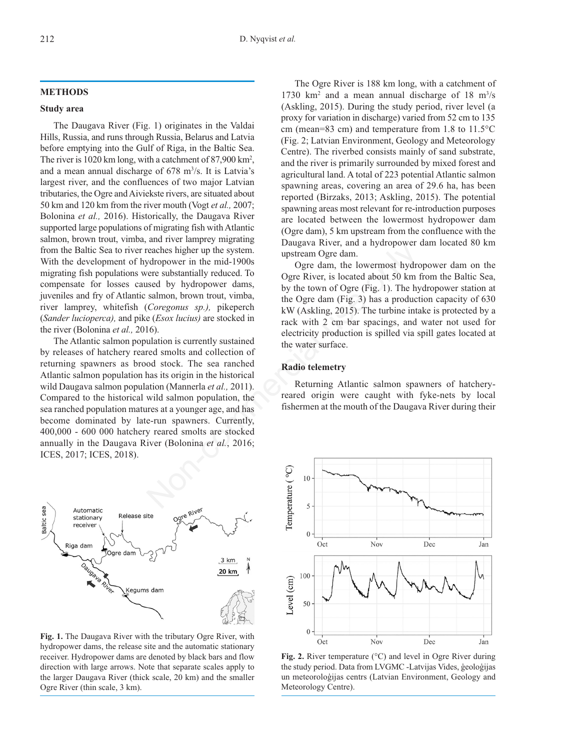#### **METHODS**

#### **Study area**

The Daugava River (Fig. 1) originates in the Valdai Hills, Russia, and runs through Russia, Belarus and Latvia before emptying into the Gulf of Riga, in the Baltic Sea. The river is 1020 km long, with a catchment of 87,900 km<sup>2</sup>, and a mean annual discharge of 678 m<sup>3</sup>/s. It is Latvia's largest river, and the confluences of two major Latvian tributaries, the Ogre and Aiviekste rivers, are situated about 50 km and 120 km from the river mouth (Vogt *et al.,* 2007; Bolonina *et al.,* 2016). Historically, the Daugava River supported large populations of migrating fish with Atlantic salmon, brown trout, vimba, and river lamprey migrating from the Baltic Sea to river reaches higher up the system. With the development of hydropower in the mid-1900s migrating fish populations were substantially reduced. To compensate for losses caused by hydropower dams, juveniles and fry of Atlantic salmon, brown trout, vimba, river lamprey, whitefish (*Coregonus sp.),* pikeperch (*Sander lucioperca),* and pike (*Esox lucius)* are stocked in the river (Bolonina *et al.,* 2016).

The Atlantic salmon population is currently sustained by releases of hatchery reared smolts and collection of returning spawners as brood stock. The sea ranched Atlantic salmon population has its origin in the historical wild Daugava salmon population (Mannerla *et al.,* 2011). Compared to the historical wild salmon population, the sea ranched population matures at a younger age, and has become dominated by late-run spawners. Currently, 400,000 - 600 000 hatchery reared smolts are stocked annually in the Daugava River (Bolonina *et al.*, 2016; ICES, 2017; ICES, 2018). reaches higher up the system.<br>
upstream Ogre dam, the lowermost hydropower in the mid-1900s<br>
upstream Ogre dam, the lowermost hydro<br>
sector substantially reduced. To<br>
set day hydropower dams,<br>
salmon, brown trout, vimba,<br>



**Fig. 1.** The Daugava River with the tributary Ogre River, with hydropower dams, the release site and the automatic stationary receiver. Hydropower dams are denoted by black bars and flow direction with large arrows. Note that separate scales apply to the larger Daugava River (thick scale, 20 km) and the smaller Ogre River (thin scale, 3 km).

The Ogre River is 188 km long, with a catchment of 1730 km<sup>2</sup> and a mean annual discharge of 18 m<sup>3</sup>/s (Askling, 2015). During the study period, river level (a proxy for variation in discharge) varied from 52 cm to 135 cm (mean=83 cm) and temperature from 1.8 to 11.5°C (Fig. 2; Latvian Environment, Geology and Meteorology Centre). The riverbed consists mainly of sand substrate, and the river is primarily surrounded by mixed forest and agricultural land. A total of 223 potential Atlantic salmon spawning areas, covering an area of 29.6 ha, has been reported (Birzaks, 2013; Askling, 2015). The potential spawning areas most relevant for re-introduction purposes are located between the lowermost hydropower dam (Ogre dam), 5 km upstream from the confluence with the Daugava River, and a hydropower dam located 80 km upstream Ogre dam.

Ogre dam, the lowermost hydropower dam on the Ogre River, is located about 50 km from the Baltic Sea, by the town of Ogre (Fig. 1). The hydropower station at the Ogre dam (Fig. 3) has a production capacity of 630 kW (Askling, 2015). The turbine intake is protected by a rack with 2 cm bar spacings, and water not used for electricity production is spilled via spill gates located at the water surface.

#### **Radio telemetry**

Returning Atlantic salmon spawners of hatcheryreared origin were caught with fyke-nets by local fishermen at the mouth of the Daugava River during their



**Fig. 2.** River temperature (°C) and level in Ogre River during the study period. Data from LVGMC -Latvijas Vides, ģeoloģijas un meteoroloģijas centrs (Latvian Environment, Geology and Meteorology Centre).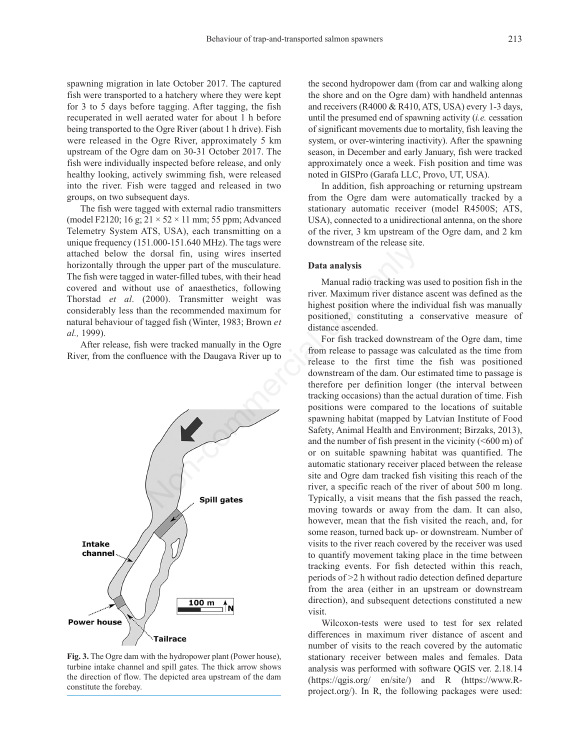spawning migration in late October 2017. The captured fish were transported to a hatchery where they were kept for 3 to 5 days before tagging. After tagging, the fish recuperated in well aerated water for about 1 h before being transported to the Ogre River (about 1 h drive). Fish were released in the Ogre River, approximately 5 km upstream of the Ogre dam on 30-31 October 2017. The fish were individually inspected before release, and only healthy looking, actively swimming fish, were released into the river. Fish were tagged and released in two groups, on two subsequent days.

The fish were tagged with external radio transmitters (model F2120; 16 g;  $21 \times 52 \times 11$  mm; 55 ppm; Advanced Telemetry System ATS, USA), each transmitting on a unique frequency (151.000-151.640 MHz). The tags were attached below the dorsal fin, using wires inserted horizontally through the upper part of the musculature. The fish were tagged in water-filled tubes, with their head covered and without use of anaesthetics, following Thorstad *et al*. (2000). Transmitter weight was considerably less than the recommended maximum for natural behaviour of tagged fish (Winter, 1983; Brown *et al.,* 1999).

After release, fish were tracked manually in the Ogre River, from the confluence with the Daugava River up to



**Fig. 3.** The Ogre dam with the hydropower plant (Power house), turbine intake channel and spill gates. The thick arrow shows the direction of flow. The depicted area upstream of the dam constitute the forebay.

the second hydropower dam (from car and walking along the shore and on the Ogre dam) with handheld antennas and receivers (R4000 & R410, ATS, USA) every 1-3 days, until the presumed end of spawning activity (*i.e.* cessation of significant movements due to mortality, fish leaving the system, or over-wintering inactivity). After the spawning season, in December and early January, fish were tracked approximately once a week. Fish position and time was noted in GISPro (Garafa LLC, Provo, UT, USA).

In addition, fish approaching or returning upstream from the Ogre dam were automatically tracked by a stationary automatic receiver (model R4500S; ATS, USA), connected to a unidirectional antenna, on the shore of the river, 3 km upstream of the Ogre dam, and 2 km downstream of the release site.

## **Data analysis**

Manual radio tracking was used to position fish in the river. Maximum river distance ascent was defined as the highest position where the individual fish was manually positioned, constituting a conservative measure of distance ascended.

For fish tracked downstream of the Ogre dam, time from release to passage was calculated as the time from release to the first time the fish was positioned downstream of the dam. Our estimated time to passage is therefore per definition longer (the interval between tracking occasions) than the actual duration of time. Fish positions were compared to the locations of suitable spawning habitat (mapped by Latvian Institute of Food Safety, Animal Health and Environment; Birzaks, 2013), and the number of fish present in the vicinity  $(<600 \text{ m})$  of or on suitable spawning habitat was quantified. The automatic stationary receiver placed between the release site and Ogre dam tracked fish visiting this reach of the river, a specific reach of the river of about 500 m long. Typically, a visit means that the fish passed the reach, moving towards or away from the dam. It can also, however, mean that the fish visited the reach, and, for some reason, turned back up- or downstream. Number of visits to the river reach covered by the receiver was used to quantify movement taking place in the time between tracking events. For fish detected within this reach, periods of >2 h without radio detection defined departure from the area (either in an upstream or downstream direction), and subsequent detections constituted a new visit. Non-Characterize the upper part of the musculature.<br>
Advantage wires inserted<br>
the upper part of the musculature.<br>
In water-filled tubes, with their head<br>
of anacsthetics, following<br>
10. Tansmitter weight was<br>
a river. Max

> Wilcoxon-tests were used to test for sex related differences in maximum river distance of ascent and number of visits to the reach covered by the automatic stationary receiver between males and females. Data analysis was performed with software QGIS ver. 2.18.14 (https://qgis.org/ en/site/) and R (https://www.Rproject.org/). In R, the following packages were used: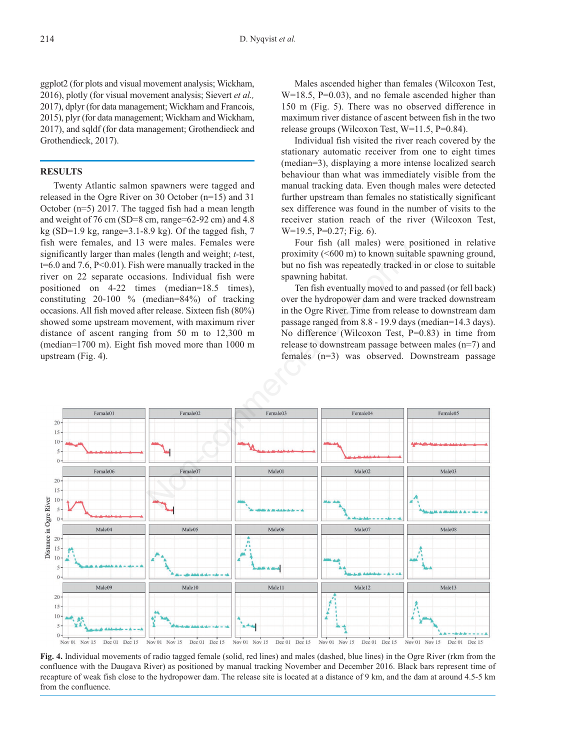ggplot2 (for plots and visual movement analysis; Wickham, 2016), plotly (for visual movement analysis; Sievert *et al.,* 2017), dplyr (for data management; Wickham and Francois, 2015), plyr (for data management; Wickham and Wickham, 2017), and sqldf (for data management; Grothendieck and Grothendieck, 2017).

## **RESULTS**

Twenty Atlantic salmon spawners were tagged and released in the Ogre River on 30 October (n=15) and 31 October (n=5) 2017. The tagged fish had a mean length and weight of 76 cm (SD=8 cm, range=62-92 cm) and 4.8 kg (SD=1.9 kg, range=3.1-8.9 kg). Of the tagged fish,  $7$ fish were females, and 13 were males. Females were significantly larger than males (length and weight; *t-*test,  $t=6.0$  and 7.6, P<0.01). Fish were manually tracked in the river on 22 separate occasions. Individual fish were positioned on 4-22 times (median=18.5 times), constituting 20-100 % (median=84%) of tracking occasions. All fish moved after release. Sixteen fish (80%) showed some upstream movement, with maximum river distance of ascent ranging from 50 m to 12,300 m (median=1700 m). Eight fish moved more than 1000 m upstream (Fig. 4).

Males ascended higher than females (Wilcoxon Test, W=18.5, P=0.03), and no female ascended higher than 150 m (Fig. 5). There was no observed difference in maximum river distance of ascent between fish in the two release groups (Wilcoxon Test, W=11.5, P=0.84).

Individual fish visited the river reach covered by the stationary automatic receiver from one to eight times (median=3), displaying a more intense localized search behaviour than what was immediately visible from the manual tracking data. Even though males were detected further upstream than females no statistically significant sex difference was found in the number of visits to the receiver station reach of the river (Wilcoxon Test, W=19.5, P=0.27; Fig. 6).

Four fish (all males) were positioned in relative proximity (<600 m) to known suitable spawning ground, but no fish was repeatedly tracked in or close to suitable spawning habitat.

Ten fish eventually moved to and passed (or fell back) over the hydropower dam and were tracked downstream in the Ogre River. Time from release to downstream dam passage ranged from 8.8 - 19.9 days (median=14.3 days). No difference (Wilcoxon Test, P=0.83) in time from release to downstream passage between males (n=7) and females (n=3) was observed. Downstream passage



**Fig. 4.** Individual movements of radio tagged female (solid, red lines) and males (dashed, blue lines) in the Ogre River (rkm from the confluence with the Daugava River) as positioned by manual tracking November and December 2016. Black bars represent time of recapture of weak fish close to the hydropower dam. The release site is located at a distance of 9 km, and the dam at around 4.5-5 km from the confluence.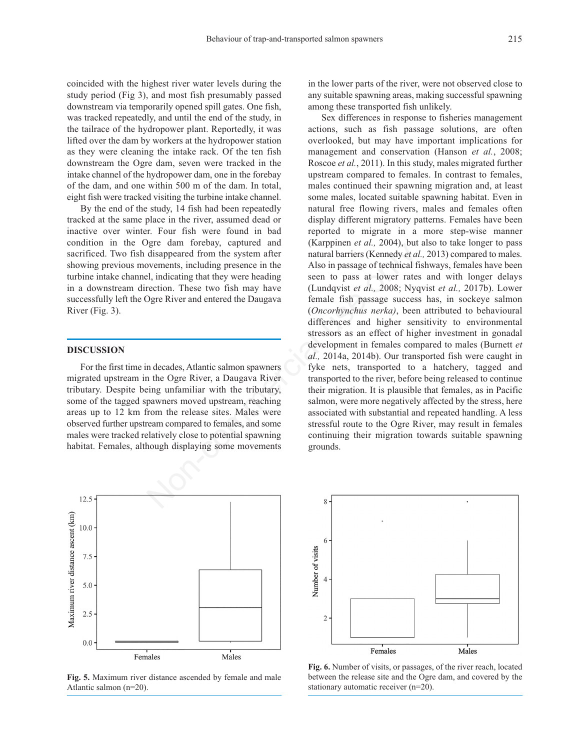coincided with the highest river water levels during the study period (Fig 3), and most fish presumably passed downstream via temporarily opened spill gates. One fish, was tracked repeatedly, and until the end of the study, in the tailrace of the hydropower plant. Reportedly, it was lifted over the dam by workers at the hydropower station as they were cleaning the intake rack. Of the ten fish downstream the Ogre dam, seven were tracked in the intake channel of the hydropower dam, one in the forebay of the dam, and one within 500 m of the dam. In total, eight fish were tracked visiting the turbine intake channel.

By the end of the study, 14 fish had been repeatedly tracked at the same place in the river, assumed dead or inactive over winter. Four fish were found in bad condition in the Ogre dam forebay, captured and sacrificed. Two fish disappeared from the system after showing previous movements, including presence in the turbine intake channel, indicating that they were heading in a downstream direction. These two fish may have successfully left the Ogre River and entered the Daugava River (Fig. 3).

# **DISCUSSION**

For the first time in decades, Atlantic salmon spawners migrated upstream in the Ogre River, a Daugava River tributary. Despite being unfamiliar with the tributary, some of the tagged spawners moved upstream, reaching areas up to 12 km from the release sites. Males were observed further upstream compared to females, and some males were tracked relatively close to potential spawning habitat. Females, although displaying some movements



**Fig. 5.** Maximum river distance ascended by female and male Atlantic salmon (n=20).

in the lower parts of the river, were not observed close to any suitable spawning areas, making successful spawning among these transported fish unlikely.

Sex differences in response to fisheries management actions, such as fish passage solutions, are often overlooked, but may have important implications for management and conservation (Hanson *et al.*, 2008; Roscoe *et al.*, 2011). In this study, males migrated further upstream compared to females. In contrast to females, males continued their spawning migration and, at least some males, located suitable spawning habitat. Even in natural free flowing rivers, males and females often display different migratory patterns. Females have been reported to migrate in a more step-wise manner (Karppinen *et al.,* 2004), but also to take longer to pass natural barriers (Kennedy *et al.,* 2013) compared to males. Also in passage of technical fishways, females have been seen to pass at lower rates and with longer delays (Lundqvist *et al.,* 2008; Nyqvist *et al.,* 2017b). Lower female fish passage success has, in sockeye salmon (*Oncorhynchus nerka)*, been attributed to behavioural differences and higher sensitivity to environmental stressors as an effect of higher investment in gonadal development in females compared to males (Burnett *et al.,* 2014a, 2014b). Our transported fish were caught in fyke nets, transported to a hatchery, tagged and transported to the river, before being released to continue their migration. It is plausible that females, as in Pacific salmon, were more negatively affected by the stress, here associated with substantial and repeated handling. A less stressful route to the Ogre River, may result in females continuing their migration towards suitable spawning grounds. disappeared from the system after<br>
an iorciny, caputar and the ratural barriers (Kennedy *et al*<br>
verments, including presence in the<br>
21, indicating that they were heading<br>
verments, including presence in the<br>
21, indica



**Fig. 6.** Number of visits, or passages, of the river reach, located between the release site and the Ogre dam, and covered by the stationary automatic receiver (n=20).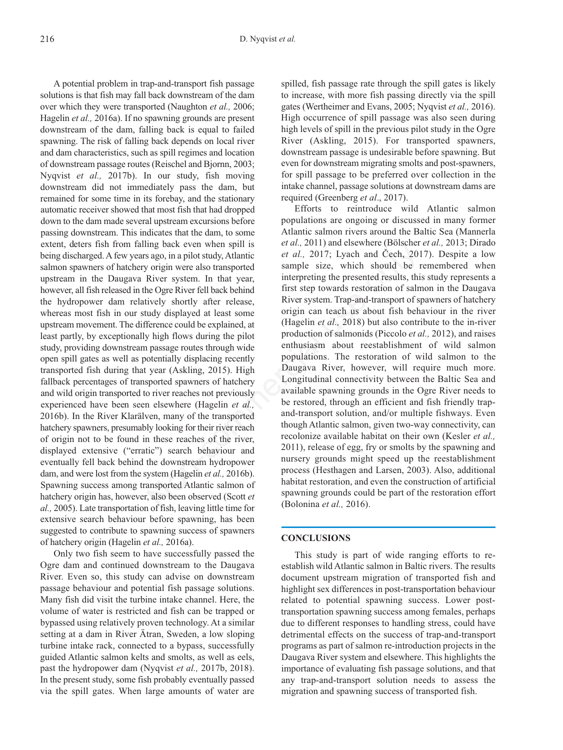A potential problem in trap-and-transport fish passage solutions is that fish may fall back downstream of the dam over which they were transported (Naughton *et al.,* 2006; Hagelin *et al.,* 2016a). If no spawning grounds are present downstream of the dam, falling back is equal to failed spawning. The risk of falling back depends on local river and dam characteristics, such as spill regimes and location of downstream passage routes (Reischel and Bjornn, 2003; Nyqvist *et al.,* 2017b). In our study, fish moving downstream did not immediately pass the dam, but remained for some time in its forebay, and the stationary automatic receiver showed that most fish that had dropped down to the dam made several upstream excursions before passing downstream. This indicates that the dam, to some extent, deters fish from falling back even when spill is being discharged. A few years ago, in a pilot study, Atlantic salmon spawners of hatchery origin were also transported upstream in the Daugava River system. In that year, however, all fish released in the Ogre River fell back behind the hydropower dam relatively shortly after release, whereas most fish in our study displayed at least some upstream movement. The difference could be explained, at least partly, by exceptionally high flows during the pilot study, providing downstream passage routes through wide open spill gates as well as potentially displacing recently transported fish during that year (Askling, 2015). High fallback percentages of transported spawners of hatchery and wild origin transported to river reaches not previously experienced have been seen elsewhere (Hagelin *et al.,* 2016b). In the River Klarälven, many of the transported hatchery spawners, presumably looking for their river reach of origin not to be found in these reaches of the river, displayed extensive ("erratic") search behaviour and eventually fell back behind the downstream hydropower dam, and were lost from the system (Hagelin *et al.,* 2016b). Spawning success among transported Atlantic salmon of hatchery origin has, however, also been observed (Scott *et al.,* 2005). Late transportation of fish, leaving little time for extensive search behaviour before spawning, has been suggested to contribute to spawning success of spawners of hatchery origin (Hagelin *et al.,* 2016a).

Only two fish seem to have successfully passed the Ogre dam and continued downstream to the Daugava River. Even so, this study can advise on downstream passage behaviour and potential fish passage solutions. Many fish did visit the turbine intake channel. Here, the volume of water is restricted and fish can be trapped or bypassed using relatively proven technology. At a similar setting at a dam in River Ätran, Sweden, a low sloping turbine intake rack, connected to a bypass, successfully guided Atlantic salmon kelts and smolts, as well as eels, past the hydropower dam (Nyqvist *et al.,* 2017b, 2018). In the present study, some fish probably eventually passed via the spill gates. When large amounts of water are

spilled, fish passage rate through the spill gates is likely to increase, with more fish passing directly via the spill gates (Wertheimer and Evans, 2005; Nyqvist *et al.,* 2016). High occurrence of spill passage was also seen during high levels of spill in the previous pilot study in the Ogre River (Askling, 2015). For transported spawners, downstream passage is undesirable before spawning. But even for downstream migrating smolts and post-spawners, for spill passage to be preferred over collection in the intake channel, passage solutions at downstream dams are required (Greenberg *et al*., 2017).

Efforts to reintroduce wild Atlantic salmon populations are ongoing or discussed in many former Atlantic salmon rivers around the Baltic Sea (Mannerla *et al.,* 2011) and elsewhere (Bölscher *et al.,* 2013; Dirado *et al.,* 2017; Lyach and Čech, 2017). Despite a low sample size, which should be remembered when interpreting the presented results, this study represents a first step towards restoration of salmon in the Daugava River system. Trap-and-transport of spawners of hatchery origin can teach us about fish behaviour in the river (Hagelin *et al.,* 2018) but also contribute to the in-river production of salmonids (Piccolo *et al.,* 2012), and raises enthusiasm about reestablishment of wild salmon populations. The restoration of wild salmon to the Daugava River, however, will require much more. Longitudinal connectivity between the Baltic Sea and available spawning grounds in the Ogre River needs to be restored, through an efficient and fish friendly trapand-transport solution, and/or multiple fishways. Even though Atlantic salmon, given two-way connectivity, can recolonize available habitat on their own (Kesler *et al.,* 2011), release of egg, fry or smolts by the spawning and nursery grounds might speed up the reestablishment process (Hesthagen and Larsen, 2003). Also, additional habitat restoration, and even the construction of artificial spawning grounds could be part of the restoration effort (Bolonina *et al.,* 2016). mg back even when spin is<br>  $et u$ , 2017) and elsewhire (Unsulter (Unsulter and Cech, 20<br>
sago, in a pilot study, Atlantic et al., 2017; Lyach and Cech, 20<br>
Norgin were also transported sample size, which should be interpret

## **CONCLUSIONS**

This study is part of wide ranging efforts to reestablish wild Atlantic salmon in Baltic rivers. The results document upstream migration of transported fish and highlight sex differences in post-transportation behaviour related to potential spawning success. Lower posttransportation spawning success among females, perhaps due to different responses to handling stress, could have detrimental effects on the success of trap-and-transport programs as part of salmon re-introduction projects in the Daugava River system and elsewhere. This highlights the importance of evaluating fish passage solutions, and that any trap-and-transport solution needs to assess the migration and spawning success of transported fish.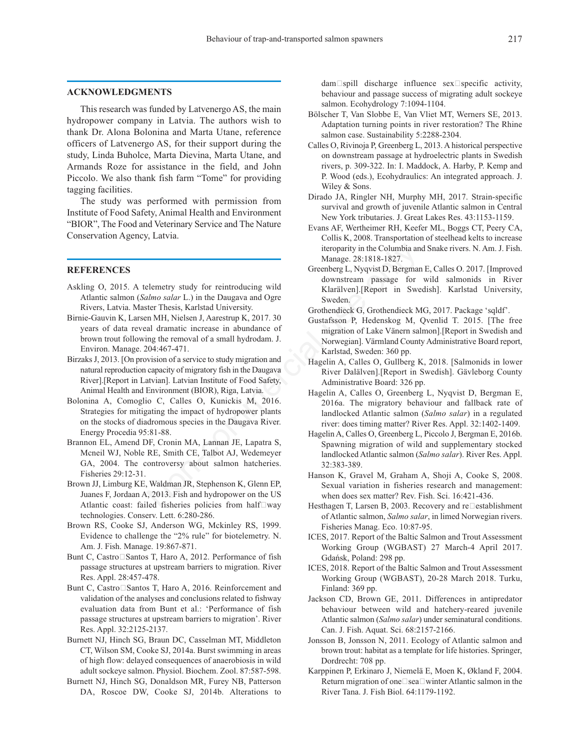#### **ACKNOWLEDGMENTS**

This research was funded by Latvenergo AS, the main hydropower company in Latvia. The authors wish to thank Dr. Alona Bolonina and Marta Utane, reference officers of Latvenergo AS, for their support during the study, Linda Buholce, Marta Dievina, Marta Utane, and Armands Roze for assistance in the field, and John Piccolo. We also thank fish farm "Tome" for providing tagging facilities.

The study was performed with permission from Institute of Food Safety, Animal Health and Environment "BIOR", The Food and Veterinary Service and The Nature Conservation Agency, Latvia.

### **REFERENCES**

- Askling O, 2015. A telemetry study for reintroducing wild Atlantic salmon (*Salmo salar* L.) in the Daugava and Ogre Rivers, Latvia. Master Thesis, Karlstad University.
- Birnie-Gauvin K, Larsen MH, Nielsen J, Aarestrup K, 2017. 30 years of data reveal dramatic increase in abundance of brown trout following the removal of a small hydrodam. J. Environ. Manage. 204:467-471. iteroparity in the Columbia and Commetter and Commetter (State State 1827.<br>
In the Daugava and Ogre<br>
Interaction of the Daugava and Ogre<br>
Sevelentino salar L.) in the Daugava and Ogre<br>
Sevelentino State Thesis, Karlstad Un
- Birzaks J, 2013. [On provision of a service to study migration and natural reproduction capacity of migratory fish in the Daugava River].[Report in Latvian]. Latvian Institute of Food Safety, Animal Health and Environment (BIOR), Riga, Latvia.
- Bolonina A, Comoglio C, Calles O, Kunickis M, 2016. Strategies for mitigating the impact of hydropower plants on the stocks of diadromous species in the Daugava River. Energy Procedia 95:81-88.
- Brannon EL, Amend DF, Cronin MA, Lannan JE, Lapatra S, Mcneil WJ, Noble RE, Smith CE, Talbot AJ, Wedemeyer GA, 2004. The controversy about salmon hatcheries. Fisheries 29:12-31.
- Brown JJ, Limburg KE, Waldman JR, Stephenson K, Glenn EP, Juanes F, Jordaan A, 2013. Fish and hydropower on the US Atlantic coast: failed fisheries policies from half $\square$ way technologies. Conserv. Lett. 6:280-286.
- Brown RS, Cooke SJ, Anderson WG, Mckinley RS, 1999. Evidence to challenge the "2% rule" for biotelemetry. N. Am. J. Fish. Manage. 19:867-871.
- Bunt C, Castro Santos T, Haro A, 2012. Performance of fish passage structures at upstream barriers to migration. River Res. Appl. 28:457-478.
- Bunt C, Castro Santos T, Haro A, 2016. Reinforcement and validation of the analyses and conclusions related to fishway evaluation data from Bunt et al.: 'Performance of fish passage structures at upstream barriers to migration'. River Res. Appl. 32:2125-2137.
- Burnett NJ, Hinch SG, Braun DC, Casselman MT, Middleton CT, Wilson SM, Cooke SJ, 2014a. Burst swimming in areas of high flow: delayed consequences of anaerobiosis in wild adult sockeye salmon. Physiol. Biochem. Zool. 87:587-598.
- Burnett NJ, Hinch SG, Donaldson MR, Furey NB, Patterson DA, Roscoe DW, Cooke SJ, 2014b. Alterations to

 $dam$  spill discharge influence sex specific activity, behaviour and passage success of migrating adult sockeye salmon. Ecohydrology 7:1094-1104.

- Bölscher T, Van Slobbe E, Van Vliet MT, Werners SE, 2013. Adaptation turning points in river restoration? The Rhine salmon case. Sustainability 5:2288-2304.
- Calles O, Rivinoja P, Greenberg L, 2013. A historical perspective on downstream passage at hydroelectric plants in Swedish rivers, p. 309-322. In: I. Maddock, A. Harby, P. Kemp and P. Wood (eds.), Ecohydraulics: An integrated approach. J. Wiley & Sons.
- Dirado JA, Ringler NH, Murphy MH, 2017. Strain-specific survival and growth of juvenile Atlantic salmon in Central New York tributaries. J. Great Lakes Res. 43:1153-1159.
- Evans AF, Wertheimer RH, Keefer ML, Boggs CT, Peery CA, Collis K, 2008. Transportation of steelhead kelts to increase iteroparity in the Columbia and Snake rivers. N. Am. J. Fish. Manage. 28:1818-1827.
- Greenberg L, Nyqvist D, Bergman E, Calles O. 2017. [Improved downstream passage for wild salmonids in River Klarälven].[Report in Swedish]. Karlstad University, Sweden.
- Grothendieck G, Grothendieck MG, 2017. Package 'sqldf'.
- Gustafsson P, Hedenskog M, Qvenlid T. 2015. [The free migration of Lake Vänern salmon].[Report in Swedish and Norwegian]. Värmland County Administrative Board report, Karlstad, Sweden: 360 pp.
- Hagelin A, Calles O, Gullberg K, 2018. [Salmonids in lower River Dalälven].[Report in Swedish]. Gävleborg County Administrative Board: 326 pp.
- Hagelin A, Calles O, Greenberg L, Nyqvist D, Bergman E, 2016a. The migratory behaviour and fallback rate of landlocked Atlantic salmon (*Salmo salar*) in a regulated river: does timing matter? River Res. Appl. 32:1402-1409.
- Hagelin A, Calles O, Greenberg L, Piccolo J, Bergman E, 2016b. Spawning migration of wild and supplementary stocked landlocked Atlantic salmon (*Salmo salar*). River Res. Appl. 32:383-389.
- Hanson K, Gravel M, Graham A, Shoji A, Cooke S, 2008. Sexual variation in fisheries research and management: when does sex matter? Rev. Fish. Sci. 16:421-436.
- Hesthagen T, Larsen B, 2003. Recovery and re $\square$ establishment of Atlantic salmon, *Salmo salar*, in limed Norwegian rivers. Fisheries Manag. Eco. 10:87-95.
- ICES, 2017. Report of the Baltic Salmon and Trout Assessment Working Group (WGBAST) 27 March-4 April 2017. Gdańsk, Poland: 298 pp.
- ICES, 2018. Report of the Baltic Salmon and Trout Assessment Working Group (WGBAST), 20-28 March 2018. Turku, Finland: 369 pp.
- Jackson CD, Brown GE, 2011. Differences in antipredator behaviour between wild and hatchery-reared juvenile Atlantic salmon (*Salmo salar*) under seminatural conditions. Can. J. Fish. Aquat. Sci. 68:2157-2166.
- Jonsson B, Jonsson N, 2011. Ecology of Atlantic salmon and brown trout: habitat as a template for life histories. Springer, Dordrecht: 708 pp.
- Karppinen P, Erkinaro J, Niemelä E, Moen K, Økland F, 2004. Return migration of one Sea Winter Atlantic salmon in the River Tana. J. Fish Biol. 64:1179-1192.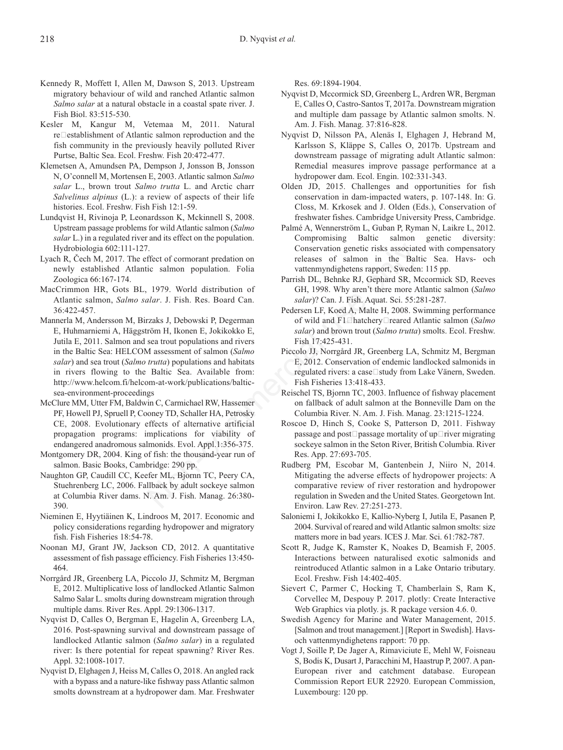- Kennedy R, Moffett I, Allen M, Dawson S, 2013. Upstream migratory behaviour of wild and ranched Atlantic salmon *Salmo salar* at a natural obstacle in a coastal spate river. J. Fish Biol. 83:515-530.
- Kesler M, Kangur M, Vetemaa M, 2011. Natural  $re$  establishment of Atlantic salmon reproduction and the fish community in the previously heavily polluted River Purtse, Baltic Sea. Ecol. Freshw. Fish 20:472-477.
- Klemetsen A, Amundsen PA, Dempson J, Jonsson B, Jonsson N, O'connell M, Mortensen E, 2003. Atlantic salmon *Salmo salar* L., brown trout *Salmo trutta* L. and Arctic charr *Salvelinus alpinus* (L.): a review of aspects of their life histories. Ecol. Freshw. Fish Fish 12:1-59.
- Lundqvist H, Rivinoja P, Leonardsson K, Mckinnell S, 2008. Upstream passage problems for wild Atlantic salmon (*Salmo salar* L.) in a regulated river and its effect on the population. Hydrobiologia 602:111-127.
- Lyach R, Čech M, 2017. The effect of cormorant predation on newly established Atlantic salmon population. Folia Zoologica 66:167-174.
- MacCrimmon HR, Gots BL, 1979. World distribution of Atlantic salmon, *Salmo salar*. J. Fish. Res. Board Can. 36:422-457.
- Mannerla M, Andersson M, Birzaks J, Debowski P, Degerman E, Huhmarniemi A, Häggström H, Ikonen E, Jokikokko E, Jutila E, 2011. Salmon and sea trout populations and rivers in the Baltic Sea: HELCOM assessment of salmon (*Salmo salar*) and sea trout (*Salmo trutta*) populations and habitats in rivers flowing to the Baltic Sea. Available from: http://www.helcom.fi/helcom-at-work/publications/balticsea-environment-proceedings 7.<br>
(Conservation genetic risks associate<br>
fice salmon population. Folia<br>
ic salmon population of the Balt<br>
1979. World distribution of the Balt<br>
1979. World distribution of GiH, 1998. Why aren't there more A<br>
2008. Sy<br>
- McClure MM, Utter FM, Baldwin C, Carmichael RW, Hassemer PF, Howell PJ, Spruell P, Cooney TD, Schaller HA, Petrosky CE, 2008. Evolutionary effects of alternative artificial propagation programs: implications for viability of endangered anadromous salmonids. Evol. Appl.1:356-375.
- Montgomery DR, 2004. King of fish: the thousand-year run of salmon. Basic Books, Cambridge: 290 pp.
- Naughton GP, Caudill CC, Keefer ML, Bjornn TC, Peery CA, Stuehrenberg LC, 2006. Fallback by adult sockeye salmon at Columbia River dams. N. Am. J. Fish. Manag. 26:380- 390.
- Nieminen E, Hyytiäinen K, Lindroos M, 2017. Economic and policy considerations regarding hydropower and migratory fish. Fish Fisheries 18:54-78.
- Noonan MJ, Grant JW, Jackson CD, 2012. A quantitative assessment of fish passage efficiency. Fish Fisheries 13:450- 464.
- Norrgård JR, Greenberg LA, Piccolo JJ, Schmitz M, Bergman E, 2012. Multiplicative loss of landlocked Atlantic Salmon Salmo Salar L. smolts during downstream migration through multiple dams. River Res. Appl. 29:1306-1317.
- Nyqvist D, Calles O, Bergman E, Hagelin A, Greenberg LA, 2016. Post-spawning survival and downstream passage of landlocked Atlantic salmon (*Salmo salar*) in a regulated river: Is there potential for repeat spawning? River Res. Appl. 32:1008-1017.
- Nyqvist D, Elghagen J, Heiss M, Calles O, 2018. An angled rack with a bypass and a nature-like fishway pass Atlantic salmon smolts downstream at a hydropower dam. Mar. Freshwater

Res. 69:1894-1904.

- Nyqvist D, Mccormick SD, Greenberg L, Ardren WR, Bergman E, Calles O, Castro-Santos T, 2017a. Downstream migration and multiple dam passage by Atlantic salmon smolts. N. Am. J. Fish. Manag. 37:816-828.
- Nyqvist D, Nilsson PA, Alenäs I, Elghagen J, Hebrand M, Karlsson S, Kläppe S, Calles O, 2017b. Upstream and downstream passage of migrating adult Atlantic salmon: Remedial measures improve passage performance at a hydropower dam. Ecol. Engin. 102:331-343.
- Olden JD, 2015. Challenges and opportunities for fish conservation in dam-impacted waters, p. 107-148. In: G. Closs, M. Krkosek and J. Olden (Eds.), Conservation of freshwater fishes. Cambridge University Press, Cambridge.
- Palmé A, Wennerström L, Guban P, Ryman N, Laikre L, 2012. Compromising Baltic salmon genetic diversity: Conservation genetic risks associated with compensatory releases of salmon in the Baltic Sea. Havs- och vattenmyndighetens rapport, Sweden: 115 pp.
- Parrish DL, Behnke RJ, Gephard SR, Mccormick SD, Reeves GH, 1998. Why aren't there more Atlantic salmon (*Salmo salar*)? Can. J. Fish. Aquat. Sci. 55:281-287.
- Pedersen LF, Koed A, Malte H, 2008. Swimming performance of wild and F1□hatchery□reared Atlantic salmon (*Salmo salar*) and brown trout (*Salmo trutta*) smolts. Ecol. Freshw. Fish 17:425-431.
- Piccolo JJ, Norrgård JR, Greenberg LA, Schmitz M, Bergman E, 2012. Conservation of endemic landlocked salmonids in regulated rivers: a case□study from Lake Vänern, Sweden. Fish Fisheries 13:418-433.
- Reischel TS, Bjornn TC, 2003. Influence of fishway placement on fallback of adult salmon at the Bonneville Dam on the Columbia River. N. Am. J. Fish. Manag. 23:1215-1224.
- Roscoe D, Hinch S, Cooke S, Patterson D, 2011. Fishway passage and post $\Box$ passage mortality of up $\Box$ river migrating sockeye salmon in the Seton River, British Columbia. River Res. App. 27:693-705.
- Rudberg PM, Escobar M, Gantenbein J, Niiro N, 2014. Mitigating the adverse effects of hydropower projects: A comparative review of river restoration and hydropower regulation in Sweden and the United States. Georgetown Int. Environ. Law Rev. 27:251-273.
- Saloniemi I, Jokikokko E, Kallio-Nyberg I, Jutila E, Pasanen P, 2004. Survival of reared and wild Atlantic salmon smolts: size matters more in bad years. ICES J. Mar. Sci. 61:782-787.
- Scott R, Judge K, Ramster K, Noakes D, Beamish F, 2005. Interactions between naturalised exotic salmonids and reintroduced Atlantic salmon in a Lake Ontario tributary. Ecol. Freshw. Fish 14:402-405.
- Sievert C, Parmer C, Hocking T, Chamberlain S, Ram K, Corvellec M, Despouy P. 2017. plotly: Create Interactive Web Graphics via plotly. js. R package version 4.6. 0.
- Swedish Agency for Marine and Water Management, 2015. [Salmon and trout management.] [Report in Swedish]. Havsoch vattenmyndighetens rapport: 70 pp.
- Vogt J, Soille P, De Jager A, Rimaviciute E, Mehl W, Foisneau S, Bodis K, Dusart J, Paracchini M, Haastrup P, 2007. A pan-European river and catchment database. European Commission Report EUR 22920. European Commission, Luxembourg: 120 pp.